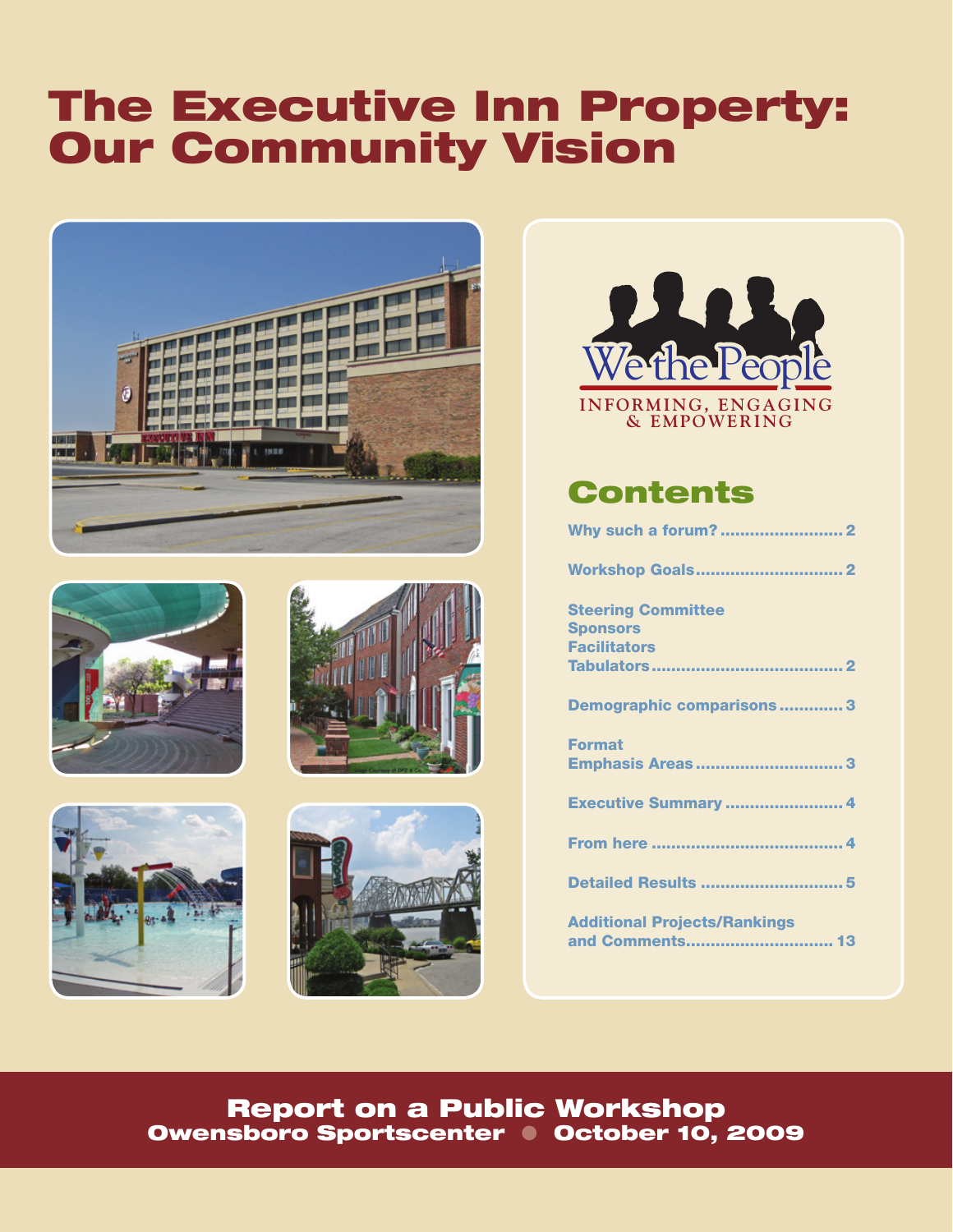# The Executive Inn Property: Our Community Vision













# **Contents**

| Why such a forum?  2                                   |
|--------------------------------------------------------|
| <b>Workshop Goals2</b>                                 |
| <b>Steering Committee</b>                              |
| <b>Sponsors</b>                                        |
| <b>Facilitators</b>                                    |
|                                                        |
| <b>Demographic comparisons3</b>                        |
| <b>Format</b>                                          |
| <b>Emphasis Areas3</b>                                 |
| Executive Summary  4                                   |
|                                                        |
| Detailed Results 5                                     |
| <b>Additional Projects/Rankings</b><br>and Comments 13 |
|                                                        |

Report on a Public Workshop Owensboro Sportscenter • October 10, 2009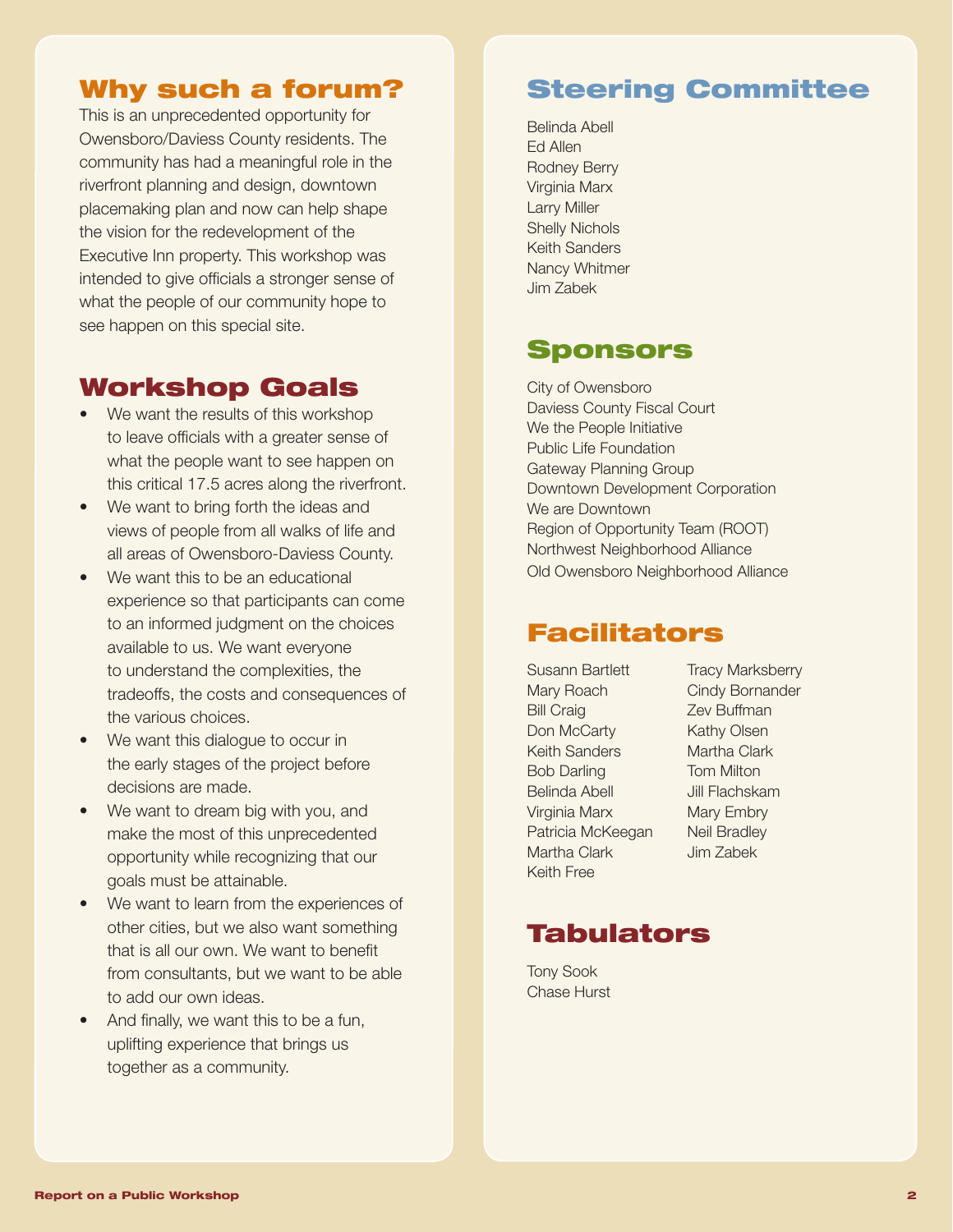## Why such a forum?

This is an unprecedented opportunity for Owensboro/Daviess County residents. The community has had a meaningful role in the riverfront planning and design, downtown placemaking plan and now can help shape the vision for the redevelopment of the Executive Inn property. This workshop was intended to give officials a stronger sense of what the people of our community hope to see happen on this special site.

## Workshop Goals

- We want the results of this workshop to leave officials with a greater sense of what the people want to see happen on this critical 17.5 acres along the riverfront.
- We want to bring forth the ideas and views of people from all walks of life and all areas of Owensboro-Daviess County.
- We want this to be an educational experience so that participants can come to an informed judgment on the choices available to us. We want everyone to understand the complexities, the tradeoffs, the costs and consequences of the various choices.
- We want this dialogue to occur in the early stages of the project before decisions are made.
- We want to dream big with you, and make the most of this unprecedented opportunity while recognizing that our goals must be attainable.
- We want to learn from the experiences of other cities, but we also want something that is all our own. We want to benefit from consultants, but we want to be able to add our own ideas.
- And finally, we want this to be a fun, uplifting experience that brings us together as a community.

# Steering Committee

Belinda Abell Ed Allen Rodney Berry Virginia Marx Larry Miller Shelly Nichols Keith Sanders Nancy Whitmer Jim Zabek

# Sponsors

City of Owensboro Daviess County Fiscal Court We the People Initiative Public Life Foundation Gateway Planning Group Downtown Development Corporation We are Downtown Region of Opportunity Team (ROOT) Northwest Neighborhood Alliance Old Owensboro Neighborhood Alliance

## Facilitators

Susann Bartlett Tracy Marksberry Mary Roach Cindy Bornander Bill Craig **Zev Buffman** Don McCarty Kathy Olsen Keith Sanders Martha Clark Bob Darling Tom Milton Belinda Abell **Jill Flachskam** Virginia Marx Mary Embry Patricia McKeegan Neil Bradley Martha Clark Jim Zabek Keith Free

# Tabulators

Tony Sook Chase Hurst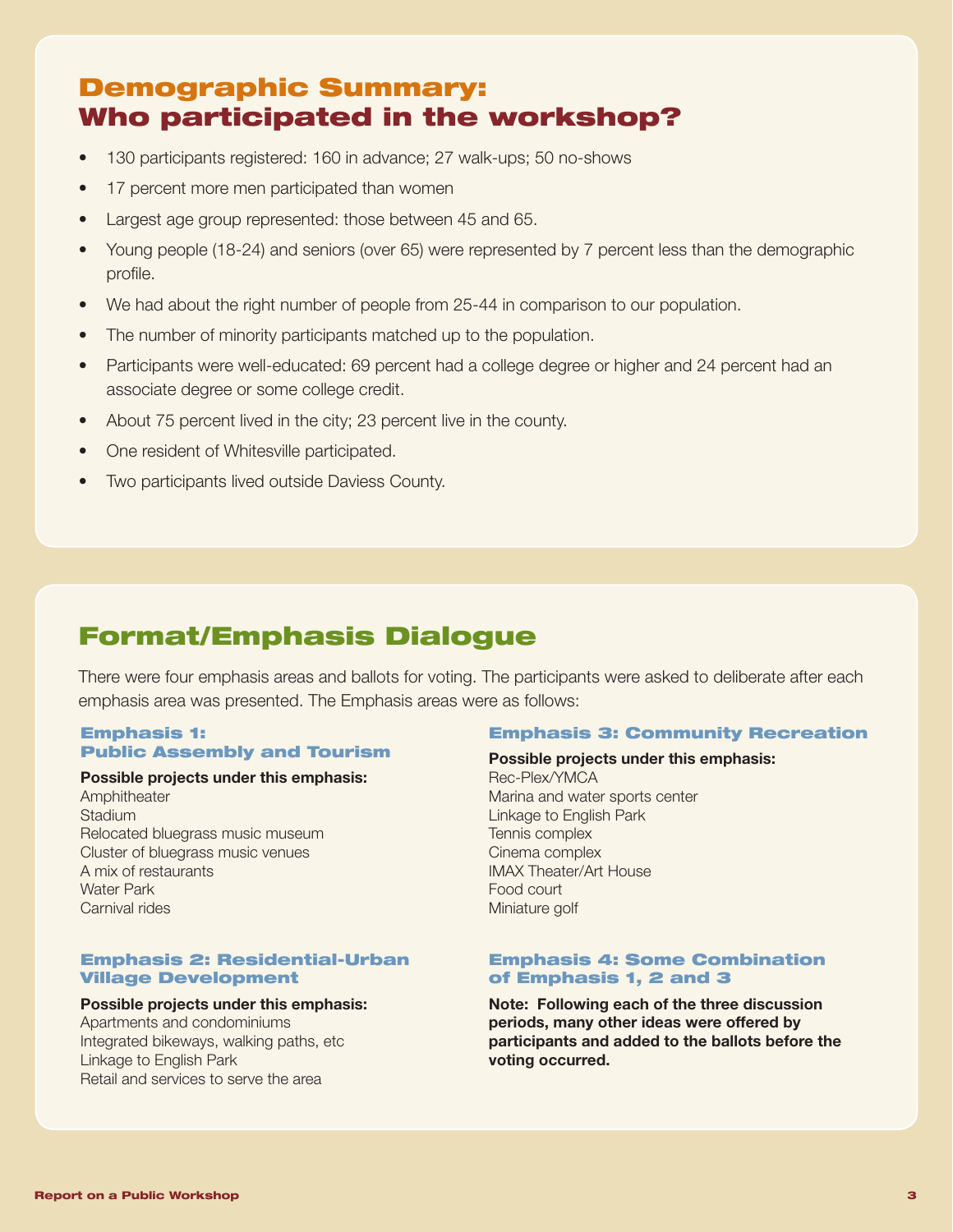# Demographic Summary: Who participated in the workshop?

- 130 participants registered: 160 in advance; 27 walk-ups; 50 no-shows
- 17 percent more men participated than women
- Largest age group represented: those between 45 and 65.
- Young people (18-24) and seniors (over 65) were represented by 7 percent less than the demographic profile.
- We had about the right number of people from 25-44 in comparison to our population.
- The number of minority participants matched up to the population.
- Participants were well-educated: 69 percent had a college degree or higher and 24 percent had an associate degree or some college credit.
- About 75 percent lived in the city; 23 percent live in the county.
- One resident of Whitesville participated.
- Two participants lived outside Daviess County.

# Format/Emphasis Dialogue

There were four emphasis areas and ballots for voting. The participants were asked to deliberate after each emphasis area was presented. The Emphasis areas were as follows:

## Emphasis 1: Public Assembly and Tourism

## Possible projects under this emphasis:

Amphitheater **Stadium** Relocated bluegrass music museum Cluster of bluegrass music venues A mix of restaurants Water Park Carnival rides

## Emphasis 2: Residential-Urban Village Development

## Possible projects under this emphasis:

Apartments and condominiums Integrated bikeways, walking paths, etc Linkage to English Park Retail and services to serve the area

#### Emphasis 3: Community Recreation

#### Possible projects under this emphasis:

Rec-Plex/YMCA Marina and water sports center Linkage to English Park Tennis complex Cinema complex IMAX Theater/Art House Food court Miniature golf

## Emphasis 4: Some Combination of Emphasis 1, 2 and 3

Note: Following each of the three discussion periods, many other ideas were offered by participants and added to the ballots before the voting occurred.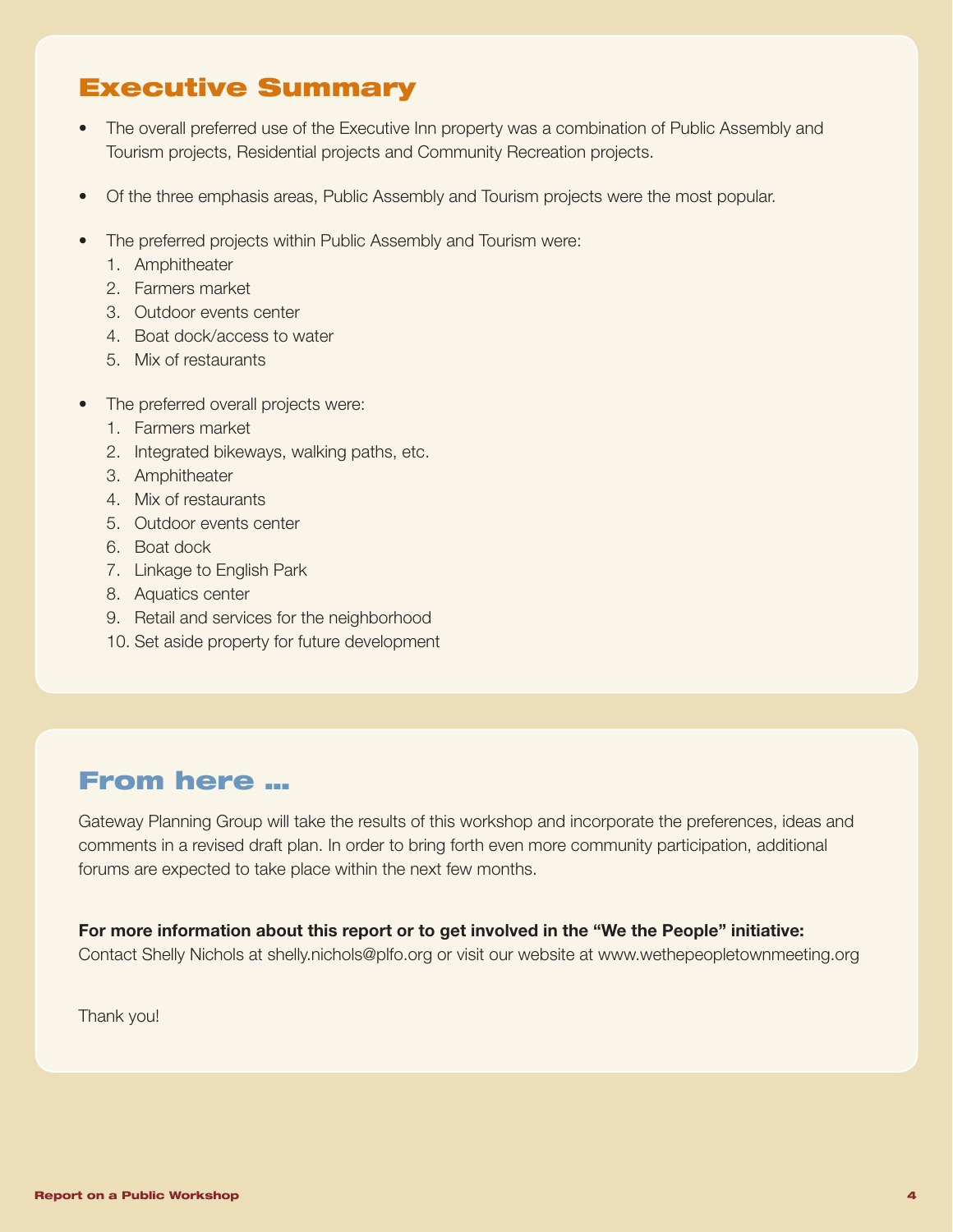# Executive Summary

- The overall preferred use of the Executive Inn property was a combination of Public Assembly and Tourism projects, Residential projects and Community Recreation projects.
- Of the three emphasis areas, Public Assembly and Tourism projects were the most popular.
- The preferred projects within Public Assembly and Tourism were:
	- 1. Amphitheater
	- 2. Farmers market
	- 3. Outdoor events center
	- 4. Boat dock/access to water
	- 5. Mix of restaurants
- The preferred overall projects were:
	- 1. Farmers market
	- 2. Integrated bikeways, walking paths, etc.
	- 3. Amphitheater
	- 4. Mix of restaurants
	- 5. Outdoor events center
	- 6. Boat dock
	- 7. Linkage to English Park
	- 8. Aquatics center
	- 9. Retail and services for the neighborhood
	- 10. Set aside property for future development

# From here …

Gateway Planning Group will take the results of this workshop and incorporate the preferences, ideas and comments in a revised draft plan. In order to bring forth even more community participation, additional forums are expected to take place within the next few months.

## For more information about this report or to get involved in the "We the People" initiative:

Contact Shelly Nichols at shelly.nichols@plfo.org or visit our website at www.wethepeopletownmeeting.org

Thank you!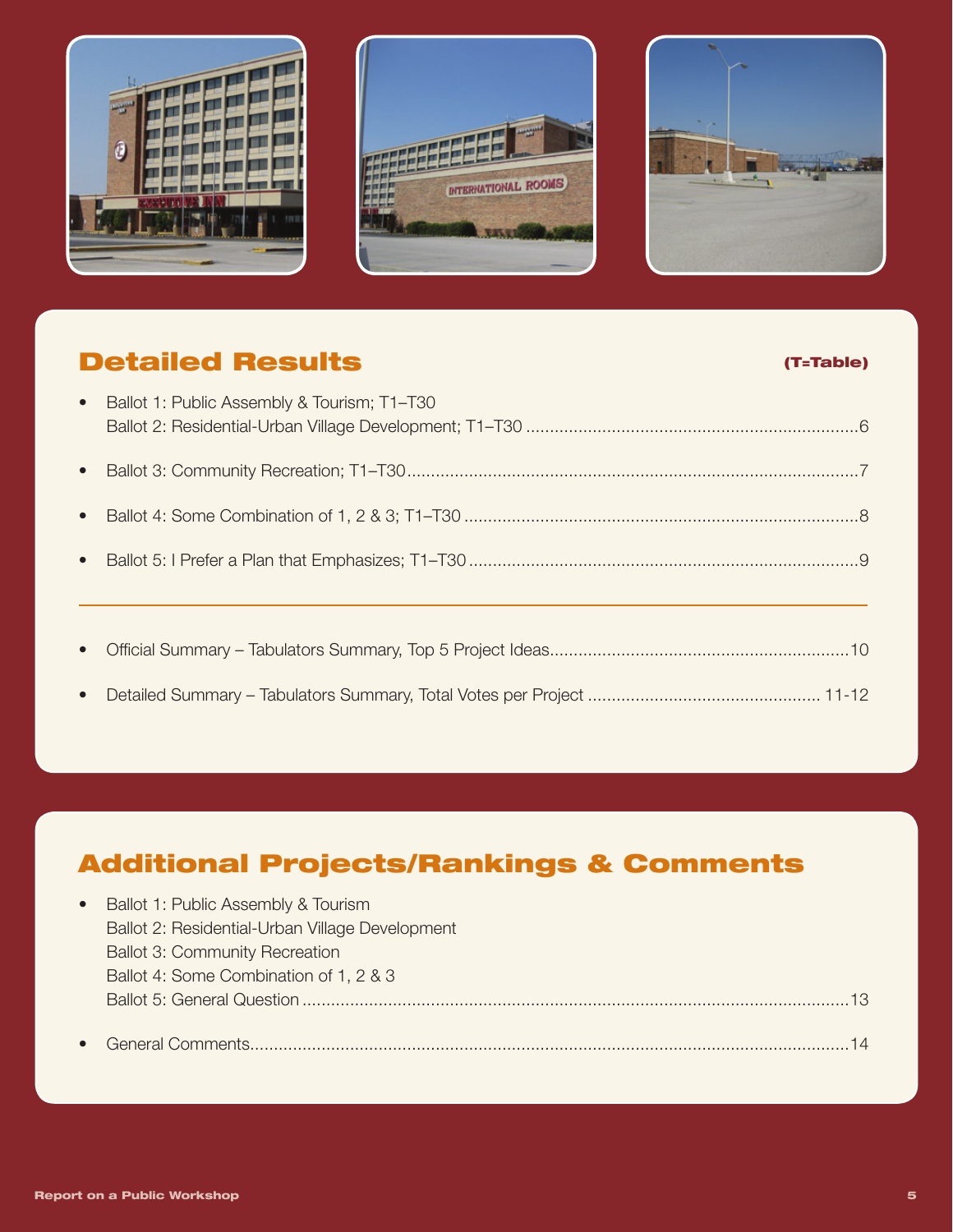





# Detailed Results (T=Table)

| $\bullet$ | Ballot 1: Public Assembly & Tourism; T1-T30 |
|-----------|---------------------------------------------|
|           |                                             |
| $\bullet$ |                                             |
| $\bullet$ |                                             |
| $\bullet$ |                                             |
|           |                                             |
| $\bullet$ |                                             |
| $\bullet$ |                                             |

# Additional Projects/Rankings & Comments

| $\bullet$ | Ballot 1: Public Assembly & Tourism             |
|-----------|-------------------------------------------------|
|           | Ballot 2: Residential-Urban Village Development |
|           | <b>Ballot 3: Community Recreation</b>           |
|           | Ballot 4: Some Combination of 1, 2 & 3          |
|           |                                                 |
|           |                                                 |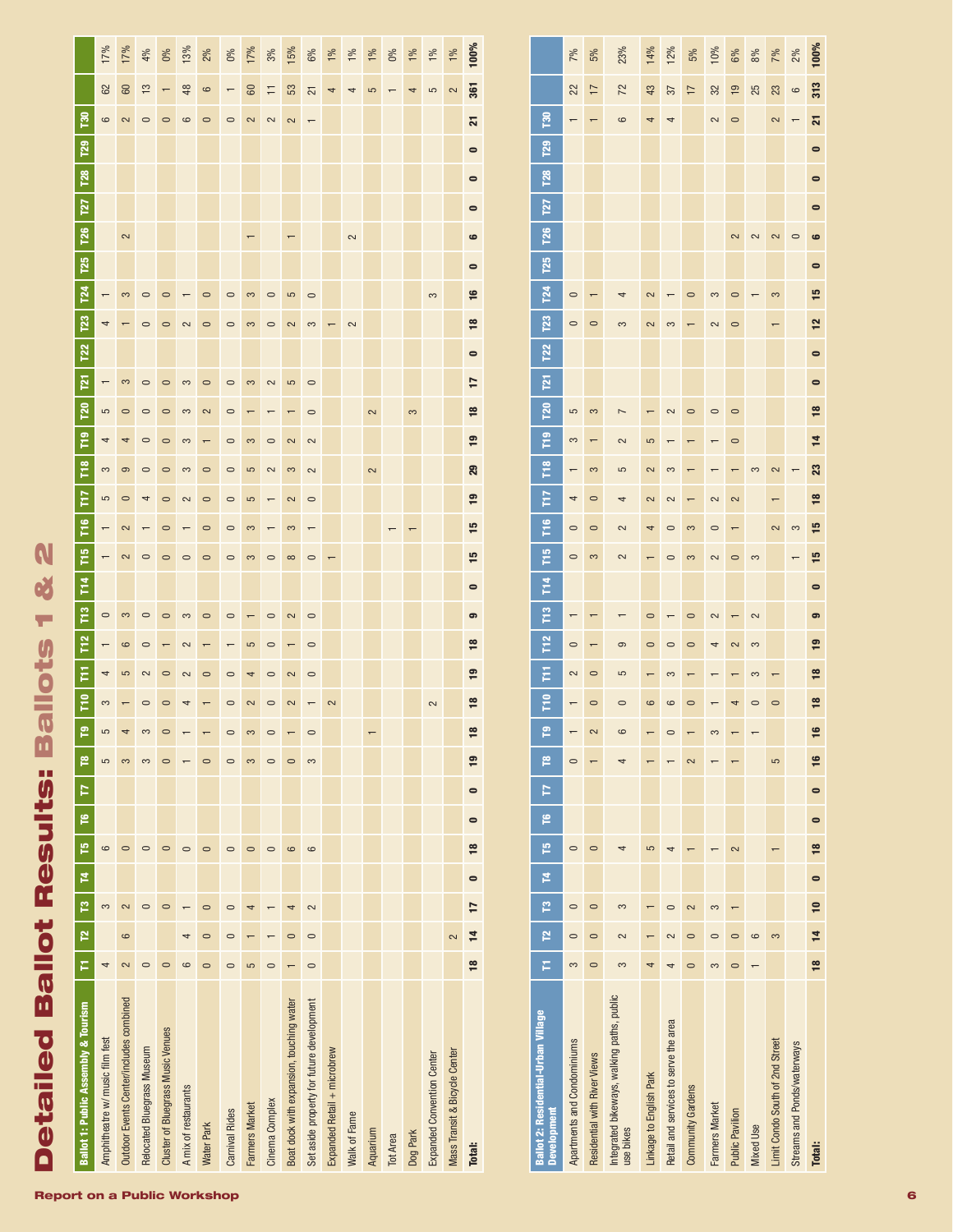| $\overline{121}$<br><b>P20</b><br>F <sub>19</sub><br>$\tilde{\mathbf{r}}$<br>FTZ<br>Ĕ<br><b>F15</b><br>$\frac{4}{11}$<br>$\tilde{r}$ | 5<br>4<br>S<br>5<br>$\circ$     | 3<br>$\circ$<br>4<br>$\Theta$<br>$\circ$<br>2<br>2<br>3 | $\circ$<br>$\circ$<br>$\circ$<br>$\circ$<br>4<br>$\circ$<br>$\circ$ | $\circ$<br>$\circ$<br>$\circ$<br>$\circ$<br>$\circ$<br>$\circ$<br>$\circ$<br>$\circ$ | 3<br>3<br>S<br>S<br>2<br>$\circ$<br>3 | $\circ$<br>2<br>$\circ$<br>$\circ$<br>$\circ$<br>$\circ$<br>$\circ$ | $\circ$<br>$\circ$<br>$\circ$<br>$\circ$<br>$\circ$<br>$\circ$<br>$\circ$<br>$\circ$ | 3<br>S<br>5<br>5<br>3<br>$\infty$ | 2<br>$\circ$<br>2<br>$\circ$<br>$\circ$             | 5<br>2<br>3<br>2<br>3<br>$\infty$<br>2   | $\circ$<br>$\circ$<br>2<br>2<br>$\circ$<br>$\overline{ }$<br>$\circ$<br>$\circ$ |                             |              | 2<br>2   |                 | 3        |                            |                               | 17<br>$\frac{8}{16}$<br>$\overline{19}$<br>29<br>$\overline{9}$<br>15<br>15<br>$\bullet$<br>ၜ |
|--------------------------------------------------------------------------------------------------------------------------------------|---------------------------------|---------------------------------------------------------|---------------------------------------------------------------------|--------------------------------------------------------------------------------------|---------------------------------------|---------------------------------------------------------------------|--------------------------------------------------------------------------------------|-----------------------------------|-----------------------------------------------------|------------------------------------------|---------------------------------------------------------------------------------|-----------------------------|--------------|----------|-----------------|----------|----------------------------|-------------------------------|-----------------------------------------------------------------------------------------------|
| T <sub>12</sub><br>Ε<br>웉<br>၉<br>r<br>Þ<br>٩                                                                                        | 4<br>3<br>5<br>5                | $\circ$<br>5<br>4<br>3                                  | $\circ$<br>2<br>$\circ$<br>S<br>3                                   | $\circ$<br>$\circ$<br>$\circ$<br>$\circ$                                             | 2<br>2                                | $\circ$<br>$\circ$                                                  | $\circ$<br>$\circ$<br>$\circ$<br>$\circ$                                             | 5<br>4<br>2<br>S<br>3             | $\circ$<br>$\circ$<br>$\circ$<br>$\circ$<br>$\circ$ | 2<br>2<br>$\overline{ }$<br>$\circ$      | $\circ$<br>$\circ$<br>$\circ$<br>3                                              | 2                           |              |          |                 |          | 2                          |                               | ≌<br>$\overline{9}$<br>≌<br>$\frac{8}{16}$<br>$\overline{19}$<br>$\bullet$                    |
| P<br><b>Z</b><br>p<br>P<br>F                                                                                                         | 6<br>3<br>4                     | $\circ$<br>2<br>6<br>2                                  | $\circ$<br>$\circ$<br>$\circ$                                       | $\circ$<br>$\circ$<br>$\circ$                                                        | $\circ$<br>4<br>ဖ                     | $\circ$<br>$\circ$<br>$\circ$<br>$\circ$                            | $\circ$<br>$\circ$<br>$\circ$<br>$\circ$                                             | $\circ$<br>4<br>5                 | $\circ$<br>$\circ$                                  | 6<br>4<br>$\circ$<br>$\overline{ }$      | 6<br>$\sim$<br>$\circ$<br>$\circ$                                               |                             |              |          |                 |          |                            | 2                             | $\bullet$<br>$\frac{8}{2}$<br>$\bullet$<br>17<br>$\overline{1}$<br>$\frac{8}{2}$              |
| <b>Ballot 1: Public Assembly &amp; Tourism</b>                                                                                       | Amphitheatre w/ music film fest | Outdoor Events Center/includes combined                 | Relocated Bluegrass Museum                                          | Cluster of Bluegrass Music Venues                                                    | A mix of restaurants                  | Water Park                                                          | Carnival Rides                                                                       | <b>Farmers Market</b>             | Cinema Complex                                      | Boat dock with expansion, touching water | Set aside property for future development                                       | Expanded Retail + microbrew | Walk of Fame | Aquarium | <b>Tot Area</b> | Dog Park | Expanded Convention Center | Mass Transit & Bicycle Center | Total:                                                                                        |

| <b>Ballot 2: Residential-Urban Village</b><br><b>Development</b> | F       | P       | P                | 14 | p       | $\overline{1}$<br><u>م</u> | r              | P  | Ē              | Ē              | T <sub>12</sub> | T <sub>13</sub> | Ě         | T <sub>15</sub> | T <sub>16</sub> | F             | r <sub>8</sub> | P <sub>n</sub> | <b>P<sub>21</sub></b><br><b>P20</b> | T <sub>22</sub> | <b>T23</b> | <b>P24</b> | <b>P25</b> | <b>T26</b>              | <b>127</b> | <b>P28</b> | <b>P29</b> | ខី              |                |      |
|------------------------------------------------------------------|---------|---------|------------------|----|---------|----------------------------|----------------|----|----------------|----------------|-----------------|-----------------|-----------|-----------------|-----------------|---------------|----------------|----------------|-------------------------------------|-----------------|------------|------------|------------|-------------------------|------------|------------|------------|-----------------|----------------|------|
| Apartments and Condominiums                                      | 3       |         |                  |    | $\circ$ |                            | $\overline{C}$ |    |                | 2              | $\circ$         |                 |           | $\circ$         | $\circ$         | 4             |                | 3              | 5                                   |                 | $\circ$    | $\circ$    |            |                         |            |            |            |                 | 22             | 7%   |
| Residential with River Views                                     |         | $\circ$ | $\circ$          |    | $\circ$ |                            |                | 2  | $\circ$        | $\circ$        |                 |                 |           | 3               | $\circ$         | $\circ$       | 3              |                | $\infty$                            |                 | $\circ$    |            |            |                         |            |            |            |                 | $\overline{1}$ | 5%   |
| Integrated bikeways, walking paths, public<br>use bikes          | 3       | 2       | 3                |    |         |                            |                | 6  | $\Box$         | 5              | ၜ               |                 |           | 2               | $\sim$          | 4             | 5              | 2              | $\overline{ }$                      |                 | က          |            |            |                         |            |            |            | 6               | 72             | 23%  |
| Linkage to English Park                                          |         |         |                  |    | 5       |                            |                |    | $\circ$        |                | $\circ$         | $\circ$         |           |                 | 4               | 2             | $\sim$         | 5              |                                     |                 | 2          | $\sim$     |            |                         |            |            |            | $\overline{ }$  | 43             | 14%  |
| Retail and services to serve the area                            |         | $\sim$  |                  |    |         |                            |                |    | 6              | 3              | $\circ$         |                 |           | $\circ$         | $\circ$         | 2             | 3              |                | 2                                   |                 | 3          |            |            |                         |            |            |            | 4               | 57             | 12%  |
| Community Gardens                                                |         |         | 2                |    |         |                            | $\sim$         |    | $\circ$        |                | $\circ$         | $\circ$         |           | 3               | 3               |               |                | ۳              | $\circ$                             |                 |            | $\Box$     |            |                         |            |            |            |                 | $\overline{1}$ | 5%   |
| <b>Farmers Market</b>                                            | m       |         | 3                |    |         |                            |                |    |                |                | 4               | 2               |           | 2               | $\circ$         | 2             |                | T              | $\circ$                             |                 | $\sim$     | က          |            |                         |            |            |            | $\sim$          | 32             | 10%  |
| <b>Public Pavilion</b>                                           | $\circ$ | $\circ$ |                  |    | 2       |                            |                |    | 4              |                | 2               |                 |           | $\circ$         |                 | 2             |                | $\circ$        | $\circ$                             |                 | $\circ$    | $\circ$    |            | $\overline{\mathbf{c}}$ |            |            |            | $\circ$         | $\overline{9}$ | 6%   |
| <b>Mixed Use</b>                                                 |         | ဖ       |                  |    |         |                            |                |    | $\circ$        | 3              | 3               | 2               |           | 3               |                 |               | 3              |                |                                     |                 |            |            |            | $\sim$                  |            |            |            |                 | 25             | 8%   |
| Limit Condo South of 2nd Street                                  |         | 3       |                  |    |         |                            | 5              |    | $\circ$        |                |                 |                 |           |                 | 2               |               | 2              |                |                                     |                 |            | $\infty$   |            | $\sim$                  |            |            |            | $\sim$          | 23             | 7%   |
| Streams and Ponds/waterways                                      |         |         |                  |    |         |                            |                |    |                |                |                 |                 |           |                 | 3               |               |                |                |                                     |                 |            |            |            | $\circ$                 |            |            |            |                 | $\circ$        | 2%   |
| <b>Total:</b>                                                    |         |         | $18$ $14$ $10$ 0 |    | 18      | $\bullet$<br>$\bullet$     | 16             | 16 | $\frac{8}{10}$ | $\frac{8}{16}$ | $\mathbf{e}$    | ၜ               | $\bullet$ | 15              | 51              | $\frac{8}{2}$ | ន              | $\overline{4}$ | $\bullet$<br>$\frac{8}{2}$          | $\bullet$       | 12         | 므          | $\bullet$  | ဖ                       | $\bullet$  | $\bullet$  | $\bullet$  | $\overline{21}$ | 313            | 100% |

Detailed Ballot Results: Ballots 1 & 2

**Detailed Ballot Results: Ballots 1 & 2**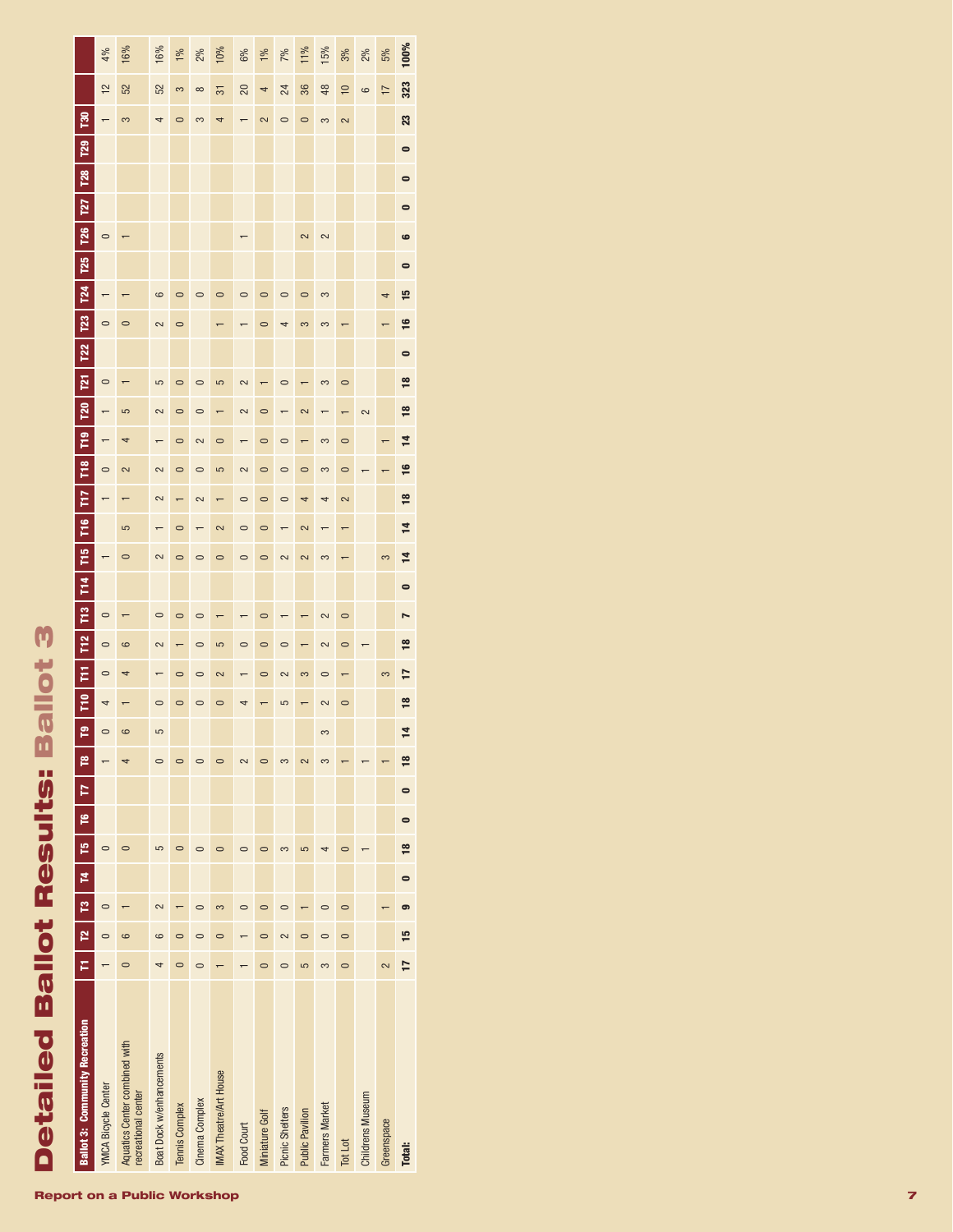|                                       | 4%                         | 16%                                                  | 16%                      | 1%             | 2%             | 10%                           | 6%             | 1%             | 7%              | 11%                      | 15%              | 3%             | 2%                      | 5%                       | 100%           |
|---------------------------------------|----------------------------|------------------------------------------------------|--------------------------|----------------|----------------|-------------------------------|----------------|----------------|-----------------|--------------------------|------------------|----------------|-------------------------|--------------------------|----------------|
|                                       | $\overline{12}$            | 52                                                   | 52                       | 3              | $\infty$       | 51                            | 20             | 4              | 24              | 36                       | 48               | $\approx$      | 6                       | $\overline{1}$           | 323            |
| <b>Pa</b>                             | $\overline{ }$             | 3                                                    | 4                        | $\circ$        | 3              | 4                             |                | $\sim$         | $\circ$         | $\circ$                  | 3                | 2              |                         |                          | 23             |
| T <sub>29</sub>                       |                            |                                                      |                          |                |                |                               |                |                |                 |                          |                  |                |                         |                          | $\bullet$      |
| <b>T28</b>                            |                            |                                                      |                          |                |                |                               |                |                |                 |                          |                  |                |                         |                          | $\bullet$      |
| <b>T27</b>                            |                            |                                                      |                          |                |                |                               |                |                |                 |                          |                  |                |                         |                          | $\bullet$      |
| T <sub>26</sub>                       | $\circ$                    |                                                      |                          |                |                |                               | $\overline{ }$ |                |                 | 2                        | 2                |                |                         |                          | $\bullet$      |
| T25                                   |                            |                                                      |                          |                |                |                               |                |                |                 |                          |                  |                |                         |                          | $\bullet$      |
| $\overline{124}$                      | $\overline{\phantom{0}}$   |                                                      | 6                        | $\circ$        | $\circ$        | $\circ$                       | $\circ$        | $\circ$        | $\circ$         | $\circ$                  | 3                |                |                         | 4                        | 인              |
| <b>P23</b>                            | $\circ$                    | $\circ$                                              | 2                        | $\circ$        |                |                               |                | $\circ$        | 4               | 3                        | 3                |                |                         |                          | <u>ی</u>       |
| T <sub>22</sub>                       |                            |                                                      |                          |                |                |                               |                |                |                 |                          |                  |                |                         |                          | $\bullet$      |
| $\overline{121}$                      | $\circ$                    |                                                      | 5                        | $\circ$        | $\circ$        | 5                             | 2              |                | $\circ$         |                          | 3                | $\circ$        |                         |                          | $\frac{8}{16}$ |
| <b>P20</b>                            | $\overline{ }$             | 5                                                    | 2                        | $\circ$        | $\circ$        |                               | 2              | $\circ$        |                 | 2                        |                  |                | 2                       |                          | $\frac{8}{16}$ |
| P <sub>19</sub>                       | $\overline{\phantom{0}}$   | 4                                                    | $\overline{ }$           | $\circ$        | 2              | $\circ$                       | $\overline{ }$ | $\circ$        | $\circ$         | $\overline{\phantom{0}}$ | 3                | $\circ$        |                         | $\overline{\phantom{0}}$ | $\overline{4}$ |
| F18                                   | $\circ$                    | 2                                                    | 2                        | $\circ$        | $\circ$        | 5                             | 2              | $\circ$        | $\circ$         | $\circ$                  | 3                | $\circ$        |                         |                          | $\overline{1}$ |
| E                                     | $\overline{ }$             |                                                      | 2                        | $\overline{ }$ | 2              | $\overline{\phantom{0}}$      | $\circ$        | $\circ$        | $\circ$         | 4                        | 4                | $\sim$         |                         |                          | $\frac{8}{2}$  |
| FiG                                   |                            | 5                                                    |                          | $\circ$        | $\overline{ }$ | 2                             | $\circ$        | $\circ$        | $\overline{ }$  | 2                        | $\overline{r}$   | $\overline{ }$ |                         |                          | 4              |
| ۵L<br>Ti                              | $\overline{\phantom{0}}$   | $\circ$                                              | 2                        | $\circ$        | $\circ$        | $\circ$                       | $\circ$        | $\circ$        | 2               | $\sim$                   | 3                |                |                         | 3                        | ᅼ              |
| <b>T14</b>                            |                            |                                                      |                          |                |                |                               |                |                |                 |                          |                  |                |                         |                          | $\bullet$      |
| E <sub>2</sub>                        | $\circ$                    |                                                      | $\circ$                  | $\circ$        | $\circ$        |                               |                | $\circ$        |                 |                          | 2                | $\circ$        |                         |                          | N              |
| T <sub>12</sub>                       | $\circ$                    | 6                                                    | 2                        |                | $\circ$        | 5                             | $\circ$        | $\circ$        | $\circ$         |                          | 2                | $\circ$        |                         |                          | $\overline{8}$ |
| Ε                                     | $\circ$                    | 4                                                    |                          | $\circ$        | $\circ$        | 2                             |                | $\circ$        | 2               | 3                        | $\circ$          | $\overline{ }$ |                         | 3                        | 7              |
| Ē                                     | 4                          |                                                      | $\circ$                  | $\circ$        | $\circ$        | $\circ$                       |                |                | 5               |                          | 2                | $\circ$        |                         |                          | $\frac{8}{16}$ |
| ድ                                     | $\circ$                    | 6                                                    | 5                        |                |                |                               |                |                |                 |                          | 3                |                |                         |                          | 4              |
| p                                     |                            |                                                      | $\circ$                  | $\circ$        |                | $\circ$                       | 2              |                | $\infty$        | $\overline{\mathbf{C}}$  | $\infty$         |                |                         |                          | $\frac{8}{2}$  |
| Þ                                     |                            |                                                      |                          |                |                |                               |                |                |                 |                          |                  |                |                         |                          | $\bullet$      |
| p                                     |                            |                                                      |                          |                |                |                               |                |                |                 |                          |                  |                |                         |                          | $\bullet$      |
| p                                     | $\circ$                    | $\circ$                                              | 5                        |                |                | $\circ$                       | $\circ$        |                | 3               | 5                        |                  | $\circ$        |                         |                          | $\frac{8}{16}$ |
| Þ.                                    |                            |                                                      |                          |                |                |                               |                |                |                 |                          |                  |                |                         |                          | $\blacksquare$ |
| ဇူ                                    | $\circ$                    |                                                      | $\sim$                   |                | $\circ$        | 3                             | $\circ$        | $\circ$        | $\circ$         |                          | $\circ$          | $\circ$        |                         |                          | G              |
| p                                     | $\circ$                    | 6                                                    | 6                        | $\circ$        | $\circ$        | $\circ$                       |                | $\circ$        | 2               | $\circ$                  | $\mathbf{\circ}$ | $\circ$        |                         |                          | 15             |
| F                                     |                            | $\circ$                                              |                          |                | 0              |                               |                |                | 0               | 5                        | $\infty$         | $\circ$        |                         | 2                        | 17             |
| <b>Ballot 3: Community Recreation</b> | <b>YMCA Bicycle Center</b> | Aquatics Center combined with<br>recreational center | Boat Dock w/enhancements | Tennis Complex | Cinema Complex | <b>IMAX Theatre/Art House</b> | Food Court     | Miniature Golf | Picnic Shelters | <b>Public Pavilion</b>   | Farmers Market   | Tot Lot        | <b>Childrens Museum</b> | Greenspace               | <b>Total:</b>  |

#### Report on a Public Workshop

Detailed Ballot Results: Ballot 3

**Detailed Ballot Results: Ballot 3**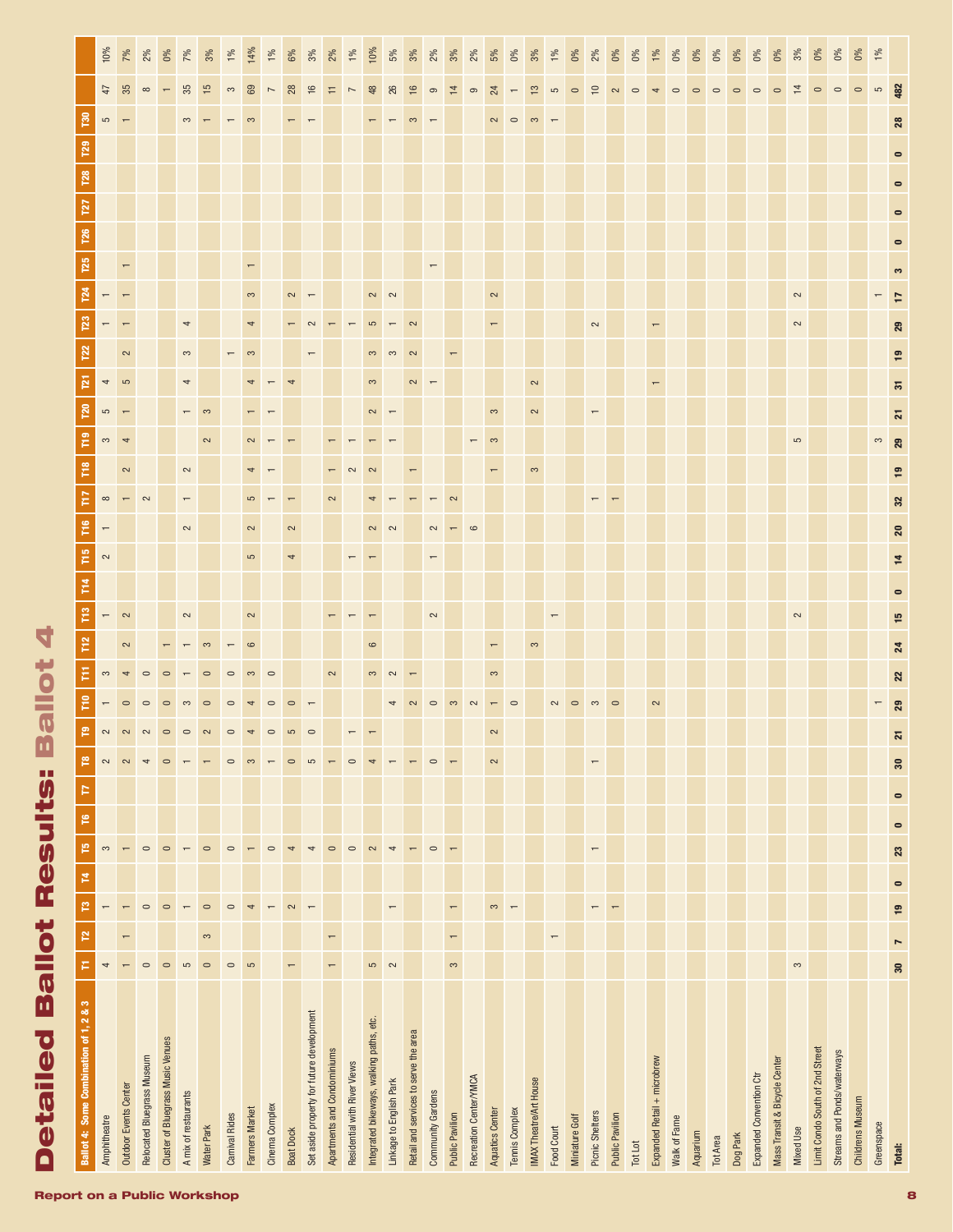| Ballot 4: Some Combination of 1, 2 & 3    | Р                        | P                        | Ħ,<br>p                  | 門                        | ۴         | Þ               | $\mathbf{r}$             |        |                       | P <sub>2</sub> | T13            | T14                         | F16<br>T <sub>15</sub> | F        | T18    | $\overline{r}$ | P <sub>20</sub>         |                |                |        |                          |  |  |                 |                 |                           |
|-------------------------------------------|--------------------------|--------------------------|--------------------------|--------------------------|-----------|-----------------|--------------------------|--------|-----------------------|----------------|----------------|-----------------------------|------------------------|----------|--------|----------------|-------------------------|----------------|----------------|--------|--------------------------|--|--|-----------------|-----------------|---------------------------|
| Amphitheatre                              | 4                        |                          |                          | 3                        |           |                 | 2                        |        |                       |                |                |                             | $\sim$                 | $\infty$ |        |                | မာ                      |                |                |        |                          |  |  | $\overline{10}$ | 47              | 10%                       |
| <b>Outdoor Events Center</b>              |                          |                          |                          | $\overline{\phantom{m}}$ |           |                 | $\sim$                   |        |                       |                | $\sim$         |                             |                        |          | $\sim$ |                |                         | $\overline{5}$ |                |        |                          |  |  |                 |                 | 7%                        |
| Relocated Bluegrass Museum                | $\circ$                  |                          | $\circ$                  | $\circ$                  |           |                 | $\overline{\phantom{a}}$ |        |                       |                |                |                             |                        |          |        |                |                         |                |                |        |                          |  |  |                 | $\infty$        | 2%                        |
| <b>Cluster of Bluegrass Music Venues</b>  | $\circ$                  |                          | $\circ$                  | $\circ$                  |           |                 | $\circ$                  |        |                       |                |                |                             |                        |          |        |                |                         |                |                |        |                          |  |  |                 |                 | 0%                        |
| A mix of restaurants                      | $\mathfrak{c}$           |                          | $\overline{ }$           | $\overline{\phantom{m}}$ |           |                 | $\overline{ }$           |        |                       |                | $\sim$         |                             | $\sim$                 |          | $\sim$ |                |                         | $\overline{ }$ | 3              | 4      |                          |  |  |                 | 35              | 7%                        |
| Water Park                                | $\circ$                  | $\infty$                 | $\circ$                  | $\circ$                  |           |                 | $\overline{ }$           |        |                       |                |                |                             |                        |          |        | $\sim$         |                         |                |                |        |                          |  |  |                 | $\frac{5}{2}$   | 3%                        |
| Carnival Rides                            | $\circ$                  |                          | $\circ$                  | $\circ$                  |           |                 | $\circ$                  |        |                       |                |                |                             |                        |          |        |                |                         |                |                |        |                          |  |  |                 | 3               | 1%                        |
| Farmers Market                            | $\mathfrak{S}$           |                          | 4                        | $\overline{\phantom{0}}$ |           |                 | 3                        |        |                       |                | 2              |                             | 2<br>5                 |          |        |                |                         |                |                | 4      |                          |  |  |                 | 69              | 14%                       |
| Cinema Complex                            |                          |                          | $\overline{ }$           | $\circ$                  |           |                 | $\overline{\phantom{m}}$ |        |                       |                |                |                             |                        |          |        |                |                         |                |                |        |                          |  |  |                 |                 | $\frac{5}{6}$             |
| Boat Dock                                 | $\overline{\phantom{0}}$ |                          | $\sim$                   | $\overline{\phantom{a}}$ |           |                 | $\circ$                  |        |                       |                |                |                             | $\sim$                 |          |        |                |                         |                |                |        |                          |  |  |                 | $\infty$        | 6%                        |
| Set aside property for future development |                          |                          | $\overline{\phantom{0}}$ | $\overline{\phantom{a}}$ |           |                 | 5                        |        |                       |                |                |                             |                        |          |        |                |                         |                |                |        |                          |  |  |                 | $\mathbf{a}$    | $3\%$                     |
| Apartments and Condominiums               | $\overline{\phantom{0}}$ | $\overline{a}$           |                          | $\circ$                  |           |                 | $\leftarrow$             |        | 2                     |                |                |                             |                        |          |        |                |                         |                |                |        |                          |  |  |                 | Ξ               | 2%                        |
| Residential with River Views              |                          |                          |                          | $\circ$                  |           |                 | $\circ$                  |        |                       |                |                |                             |                        |          |        |                |                         |                |                |        |                          |  |  |                 |                 | 1%                        |
| Integrated bikeways, walking paths, etc.  | 5                        |                          |                          | $\sim$                   |           |                 | 4                        |        |                       | G              |                |                             |                        |          |        |                |                         | 3              |                |        | $\sim$                   |  |  |                 | 48              | 10%                       |
| Linkage to English Park                   | $\sim$                   |                          | $\overline{ }$           | $\overline{\phantom{a}}$ |           |                 | $\overline{\phantom{m}}$ |        |                       |                |                |                             |                        |          |        |                |                         |                |                |        |                          |  |  |                 | 8               | 5%                        |
| Retail and services to serve the area     |                          |                          |                          | $\overline{\phantom{m}}$ |           |                 |                          |        |                       |                |                |                             |                        |          |        |                |                         |                |                |        |                          |  |  |                 | $\overline{16}$ | 3%                        |
| Community Gardens                         |                          |                          |                          | $\circ$                  |           |                 | $\circ$                  |        |                       |                | $\sim$         |                             |                        |          |        |                |                         |                |                |        | $\overline{\phantom{m}}$ |  |  |                 | $\circ$         | 2%                        |
| <b>Public Pavilion</b>                    | $\infty$                 | $\overline{\phantom{0}}$ | $\overline{\phantom{0}}$ | $\overline{\phantom{0}}$ |           |                 | $\overline{ }$           |        |                       |                |                |                             |                        |          |        |                |                         |                |                |        |                          |  |  |                 | $\overline{4}$  | 3%                        |
| Recreation Center/YMCA                    |                          |                          |                          |                          |           |                 |                          |        |                       |                |                |                             |                        |          |        |                |                         |                |                |        |                          |  |  |                 | $\circ$         | 2%                        |
| Aquatics Center                           |                          |                          | 3                        |                          |           |                 | $\sim$<br>2              |        | 3                     |                |                |                             |                        |          |        |                | 3                       |                |                |        | $\sim$                   |  |  |                 | $^{24}$         | 5%                        |
| Tennis Complex                            |                          |                          | $\overline{\phantom{0}}$ |                          |           |                 |                          |        |                       |                |                |                             |                        |          |        |                |                         |                |                |        |                          |  |  |                 |                 | 0%                        |
| IMAX Theatre/Art House                    |                          |                          |                          |                          |           |                 |                          |        |                       |                |                |                             |                        |          | 3      |                | 2                       | $\sim$         |                |        |                          |  |  |                 | $\tilde{1}$     | $3\%$                     |
| Food Court                                |                          | $\overline{ }$           |                          |                          |           |                 |                          |        |                       |                |                |                             |                        |          |        |                |                         |                |                |        |                          |  |  |                 | $\overline{5}$  | $\frac{5}{6}$             |
| Miniature Golf                            |                          |                          |                          |                          |           |                 |                          |        |                       |                |                |                             |                        |          |        |                |                         |                |                |        |                          |  |  |                 | $\circ$         | $\delta$                  |
| Picnic Shelters                           |                          |                          | $\overline{ }$           | $\overline{\phantom{0}}$ |           |                 | $\overline{\phantom{0}}$ |        |                       |                |                |                             |                        |          |        |                |                         |                |                | 2      |                          |  |  |                 | $\subseteq$     | 2%                        |
| <b>Public Pavilion</b>                    |                          |                          | $\overline{ }$           |                          |           |                 |                          |        |                       |                |                |                             |                        |          |        |                |                         |                |                |        |                          |  |  |                 |                 | ð%                        |
| Tot Lot                                   |                          |                          |                          |                          |           |                 |                          |        |                       |                |                |                             |                        |          |        |                |                         |                |                |        |                          |  |  |                 | $\circ$         | <sub>o</sub> x            |
| Expanded Retail + microbrew               |                          |                          |                          |                          |           |                 |                          | $\sim$ |                       |                |                |                             |                        |          |        |                |                         |                |                |        |                          |  |  |                 |                 | $\frac{5}{5}$             |
| Walk of Fame                              |                          |                          |                          |                          |           |                 |                          |        |                       |                |                |                             |                        |          |        |                |                         |                |                |        |                          |  |  |                 |                 | $\widetilde{\mathcal{O}}$ |
| Aquarium                                  |                          |                          |                          |                          |           |                 |                          |        |                       |                |                |                             |                        |          |        |                |                         |                |                |        |                          |  |  |                 |                 | δ×                        |
| <b>Tot Area</b>                           |                          |                          |                          |                          |           |                 |                          |        |                       |                |                |                             |                        |          |        |                |                         |                |                |        |                          |  |  |                 |                 |                           |
| Dog Park                                  |                          |                          |                          |                          |           |                 |                          |        |                       |                |                |                             |                        |          |        |                |                         |                |                |        |                          |  |  |                 |                 |                           |
| Expanded Convention Ctr                   |                          |                          |                          |                          |           |                 |                          |        |                       |                |                |                             |                        |          |        |                |                         |                |                |        |                          |  |  |                 |                 | š                         |
| Mass Transit & Bicycle Center             |                          |                          |                          |                          |           |                 |                          |        |                       |                |                |                             |                        |          |        |                |                         |                |                |        |                          |  |  |                 |                 | Š                         |
| <b>Mixed Use</b>                          | 3                        |                          |                          |                          |           |                 |                          |        |                       |                | $\sim$         |                             |                        |          |        | 5              |                         |                |                | $\sim$ | $\sim$                   |  |  |                 | $\overline{4}$  | $\frac{3}{6}$             |
| Limit Condo South of 2nd Street           |                          |                          |                          |                          |           |                 |                          |        |                       |                |                |                             |                        |          |        |                |                         |                |                |        |                          |  |  |                 |                 | ŏ                         |
| Streams and Ponds/waterways               |                          |                          |                          |                          |           |                 |                          |        |                       |                |                |                             |                        |          |        |                |                         |                |                |        |                          |  |  |                 | $\circ$         | ŏ                         |
| Childrens Museum                          |                          |                          |                          |                          |           |                 |                          |        |                       |                |                |                             |                        |          |        |                |                         |                |                |        |                          |  |  |                 | $\circ$         | š                         |
| Greenspace                                |                          |                          |                          |                          |           |                 |                          |        |                       |                |                |                             |                        |          |        | 3              |                         |                |                |        |                          |  |  |                 | $\mathbf{S}$    | 1%                        |
| Total:                                    | 30                       | $\overline{ }$           | $\bullet$<br><b>19</b>   | 23                       | $\bullet$ | 30<br>$\bullet$ |                          | ని     | $\boldsymbol{\Omega}$ | 24             | $\overline{5}$ | $\overline{4}$<br>$\bullet$ | 20                     | 32       | உ      | 29             | $\overline{\mathbf{z}}$ | 55             | $\overline{9}$ | 29     |                          |  |  | 28              | 482             |                           |

Detailed Ballot Results: Ballot 4

**Detailed Ballot Results: Ballot 4**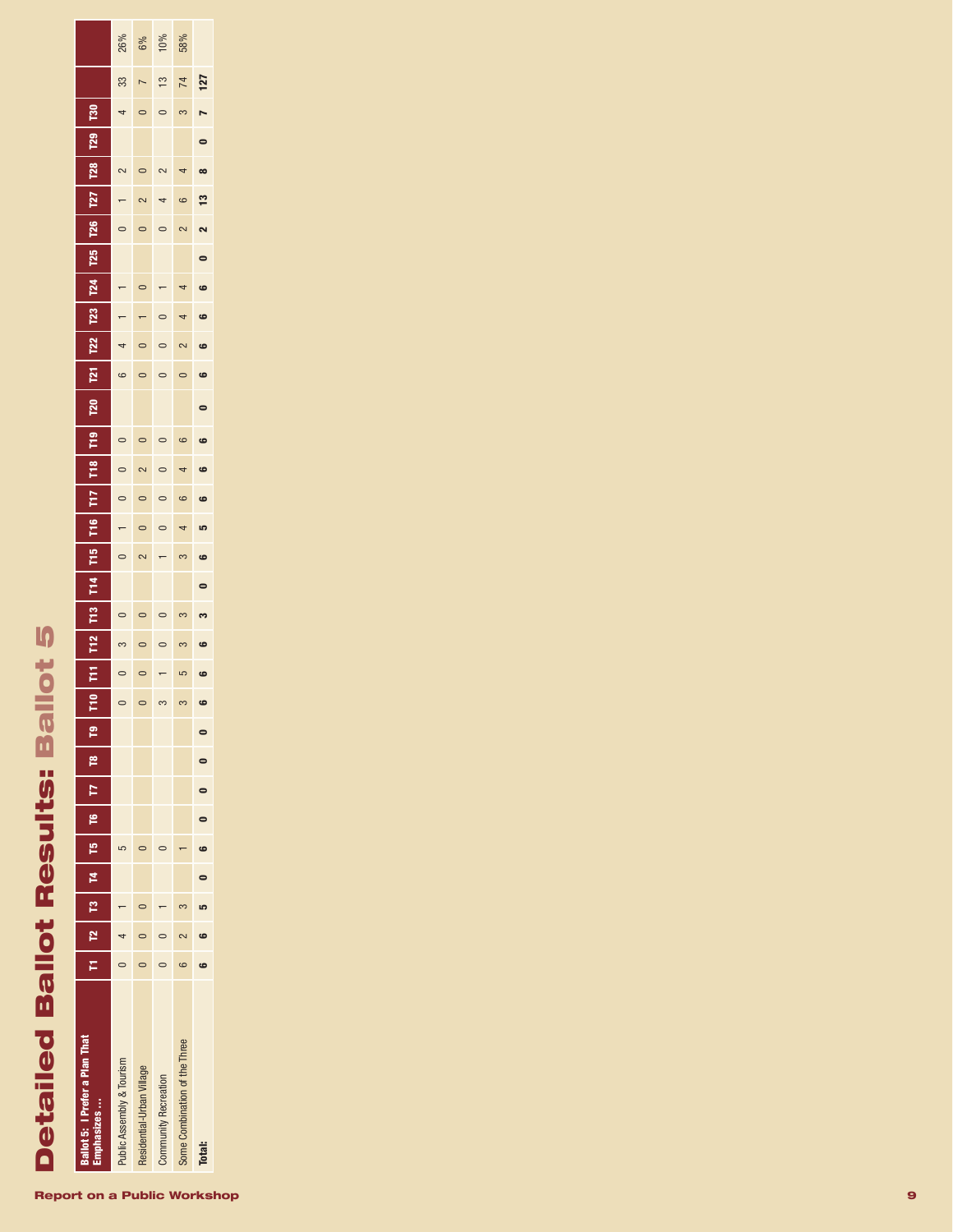# **Detailed Ballot Results: Ballot 5** Detailed Ballot Results: Ballot 5

| <b>Sallot 5: I Prefer a Plan That</b><br>zes |                                       |        |        |   |                                                | $\bar{z}$ | É | T <sub>2</sub> | F <sub>13</sub> | $\frac{1}{2}$ | T <sub>15</sub> | ۴ê | E | e<br>F<br>re<br>F | <b>P20</b> | N | <b>T22</b> | $\overline{123}$ | <b>Z4</b> | T25 | <b>T26</b> | T27           | $\frac{1}{28}$ | T <sub>29</sub> | នី |               |     |
|----------------------------------------------|---------------------------------------|--------|--------|---|------------------------------------------------|-----------|---|----------------|-----------------|---------------|-----------------|----|---|-------------------|------------|---|------------|------------------|-----------|-----|------------|---------------|----------------|-----------------|----|---------------|-----|
| ublic Assembly & Tourism                     | $\begin{array}{c} 0 \\ 4 \end{array}$ |        |        | Ω |                                                | $\circ$   |   |                |                 |               |                 |    |   |                   |            | 6 |            |                  |           |     |            |               | J              |                 | 4  | 33            | 26% |
| kesidential-Urban Village                    | $\overline{\phantom{0}}$              |        |        |   |                                                | $\circ$   |   |                |                 |               |                 |    |   |                   |            |   |            |                  |           |     |            |               |                |                 |    |               | 6%  |
| <b>Community Recreation</b>                  |                                       |        |        |   |                                                |           |   |                |                 |               |                 |    |   |                   |            |   |            |                  |           |     |            |               |                |                 |    | $\frac{3}{2}$ | 10% |
| Some Combination of the Three                |                                       |        |        |   |                                                | က         |   |                |                 |               |                 |    |   |                   |            |   |            |                  |           |     |            |               |                |                 |    | 74            | 58% |
| <b>Total:</b>                                |                                       | i<br>L | i<br>L |   | $\begin{bmatrix} 0 & 0 \\ 0 & 0 \end{bmatrix}$ | မ         | မ |                | ೢ               |               |                 |    |   | မ                 |            | 9 |            | 6                |           |     |            | $\frac{3}{2}$ |                |                 |    | 127           |     |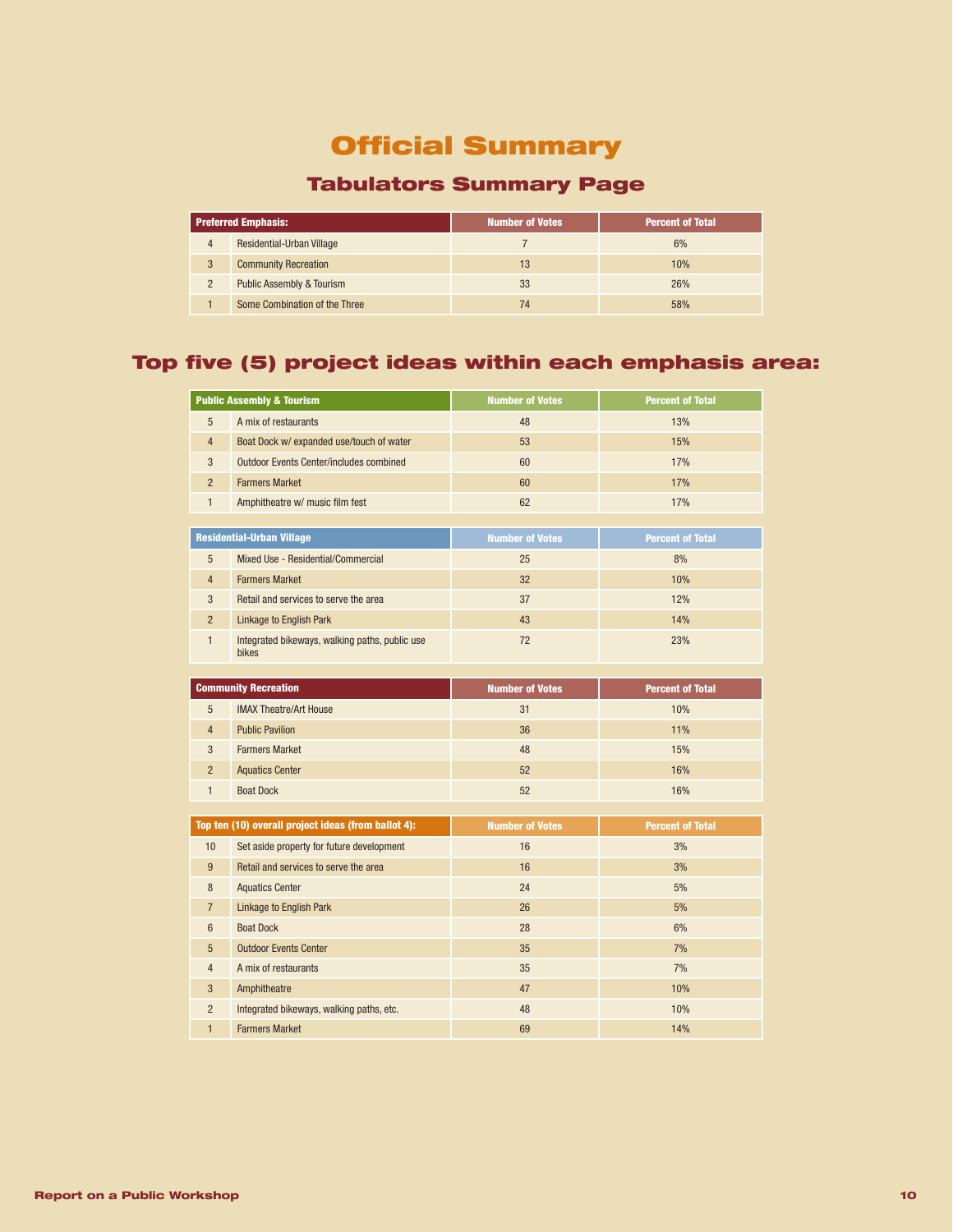# Official Summary

# Tabulators Summary Page

|                | <b>Preferred Emphasis:</b>           | <b>Number of Votes</b> | <b>Percent of Total</b> |
|----------------|--------------------------------------|------------------------|-------------------------|
| 4              | <b>Residential-Urban Village</b>     |                        | 6%                      |
| 3              | <b>Community Recreation</b>          | 13                     | 10%                     |
| $\overline{2}$ | <b>Public Assembly &amp; Tourism</b> | 33                     | 26%                     |
|                | Some Combination of the Three        | 74                     | 58%                     |

## Top five (5) project ideas within each emphasis area:

|                | <b>Public Assembly &amp; Tourism</b>                | <b>Number of Votes</b> | <b>Percent of Total</b> |
|----------------|-----------------------------------------------------|------------------------|-------------------------|
| 5              | A mix of restaurants                                | 48                     | 13%                     |
| $\overline{4}$ | Boat Dock w/ expanded use/touch of water            | 53                     | 15%                     |
| 3              | <b>Outdoor Events Center/includes combined</b>      | 60                     | 17%                     |
| $\overline{2}$ | <b>Farmers Market</b>                               | 60                     | 17%                     |
| $\mathbf{1}$   | Amphitheatre w/ music film fest                     | 62                     | 17%                     |
|                |                                                     |                        |                         |
|                | <b>Residential-Urban Village</b>                    | <b>Number of Votes</b> | <b>Percent of Total</b> |
| 5              | Mixed Use - Residential/Commercial                  | 25                     | 8%                      |
| 4              | <b>Farmers Market</b>                               | 32                     | 10%                     |
| 3              | Retail and services to serve the area               | 37                     | 12%                     |
| $\overline{2}$ | Linkage to English Park                             | 43                     | 14%                     |
| $\mathbf{1}$   | Integrated bikeways, walking paths, public use      | 72                     | 23%                     |
|                | bikes                                               |                        |                         |
|                | <b>Community Recreation</b>                         | <b>Number of Votes</b> | <b>Percent of Total</b> |
| 5              | <b>IMAX Theatre/Art House</b>                       | 31                     | 10%                     |
| 4              | <b>Public Pavilion</b>                              | 36                     | 11%                     |
| 3              | <b>Farmers Market</b>                               | 48                     | 15%                     |
| $\overline{2}$ | <b>Aquatics Center</b>                              | 52                     | 16%                     |
| $\mathbf{1}$   | <b>Boat Dock</b>                                    | 52                     | 16%                     |
|                |                                                     |                        |                         |
|                | Top ten (10) overall project ideas (from ballot 4): | <b>Number of Votes</b> | <b>Percent of Total</b> |
| 10             | Set aside property for future development           | 16                     | 3%                      |
| 9              | Retail and services to serve the area               | 16                     | 3%                      |
| 8              | <b>Aquatics Center</b>                              | 24                     | 5%                      |
| $\overline{7}$ | Linkage to English Park                             | 26                     | 5%                      |
| $6\phantom{1}$ | <b>Boat Dock</b>                                    | 28                     | 6%                      |
| 5              | <b>Outdoor Events Center</b>                        | 35                     | 7%                      |
| 4              | A mix of restaurants                                | 35                     | 7%                      |
| 3              | Amphitheatre                                        | 47                     | 10%                     |
| $\overline{2}$ | Integrated bikeways, walking paths, etc.            | 48                     | 10%                     |
| $\mathbf{1}$   | <b>Farmers Market</b>                               | 69                     | 14%                     |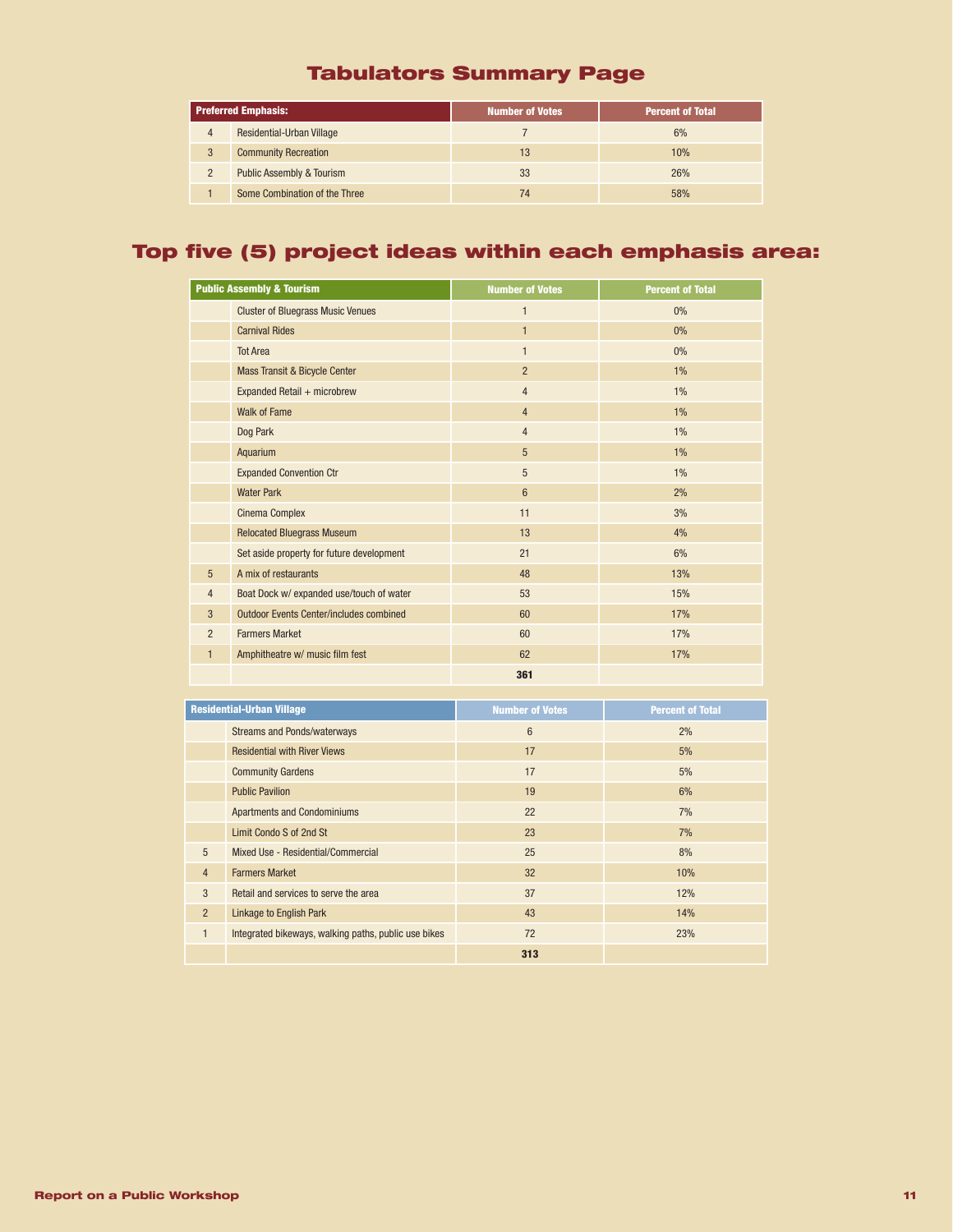# Tabulators Summary Page

|                | <b>Preferred Emphasis:</b>           | <b>Number of Votes</b> | <b>Percent of Total</b> |
|----------------|--------------------------------------|------------------------|-------------------------|
| 4              | Residential-Urban Village            |                        | 6%                      |
| 3              | <b>Community Recreation</b>          | 13                     | 10%                     |
| $\overline{2}$ | <b>Public Assembly &amp; Tourism</b> | 33                     | 26%                     |
|                | Some Combination of the Three        | 74                     | 58%                     |

# Top five (5) project ideas within each emphasis area:

|                 | <b>Public Assembly &amp; Tourism</b>           | <b>Number of Votes</b> | <b>Percent of Total</b> |
|-----------------|------------------------------------------------|------------------------|-------------------------|
|                 | <b>Cluster of Bluegrass Music Venues</b>       | $\mathbf{1}$           | $0\%$                   |
|                 | <b>Carnival Rides</b>                          | $\mathbf{1}$           | 0%                      |
|                 | <b>Tot Area</b>                                | $\mathbf{1}$           | $0\%$                   |
|                 | Mass Transit & Bicycle Center                  | $\overline{2}$         | $1\%$                   |
|                 | Expanded Retail + microbrew                    | $\overline{4}$         | $1\%$                   |
|                 | <b>Walk of Fame</b>                            | $\overline{4}$         | $1\%$                   |
|                 | Dog Park                                       | $\overline{4}$         | $1\%$                   |
|                 | Aquarium                                       | 5                      | $1\%$                   |
|                 | <b>Expanded Convention Ctr</b>                 | 5                      | $1\%$                   |
|                 | <b>Water Park</b>                              | $6\phantom{1}$         | 2%                      |
|                 | <b>Cinema Complex</b>                          | 11                     | 3%                      |
|                 | <b>Relocated Bluegrass Museum</b>              | 13                     | 4%                      |
|                 | Set aside property for future development      | 21                     | 6%                      |
| $5\overline{)}$ | A mix of restaurants                           | 48                     | 13%                     |
| 4               | Boat Dock w/ expanded use/touch of water       | 53                     | 15%                     |
| 3               | <b>Outdoor Events Center/includes combined</b> | 60                     | 17%                     |
| $\overline{2}$  | <b>Farmers Market</b>                          | 60                     | 17%                     |
| $\mathbf{1}$    | Amphitheatre w/ music film fest                | 62                     | 17%                     |
|                 |                                                | 361                    |                         |

| <b>Residential-Urban Village</b> |                                                      | <b>Number of Votes</b> | <b>Percent of Total</b> |
|----------------------------------|------------------------------------------------------|------------------------|-------------------------|
|                                  | <b>Streams and Ponds/waterways</b>                   | $6\phantom{1}$         | 2%                      |
|                                  | <b>Residential with River Views</b>                  | 17                     | 5%                      |
|                                  | <b>Community Gardens</b>                             | 17                     | 5%                      |
|                                  | <b>Public Pavilion</b>                               | 19                     | 6%                      |
|                                  | <b>Apartments and Condominiums</b>                   | 22                     | 7%                      |
|                                  | Limit Condo S of 2nd St                              | 23                     | 7%                      |
| 5                                | Mixed Use - Residential/Commercial                   | 25                     | 8%                      |
| $\overline{4}$                   | <b>Farmers Market</b>                                | 32                     | 10%                     |
| 3                                | Retail and services to serve the area                | 37                     | 12%                     |
| $\overline{2}$                   | <b>Linkage to English Park</b>                       | 43                     | 14%                     |
| 1                                | Integrated bikeways, walking paths, public use bikes | 72                     | 23%                     |
|                                  |                                                      | 313                    |                         |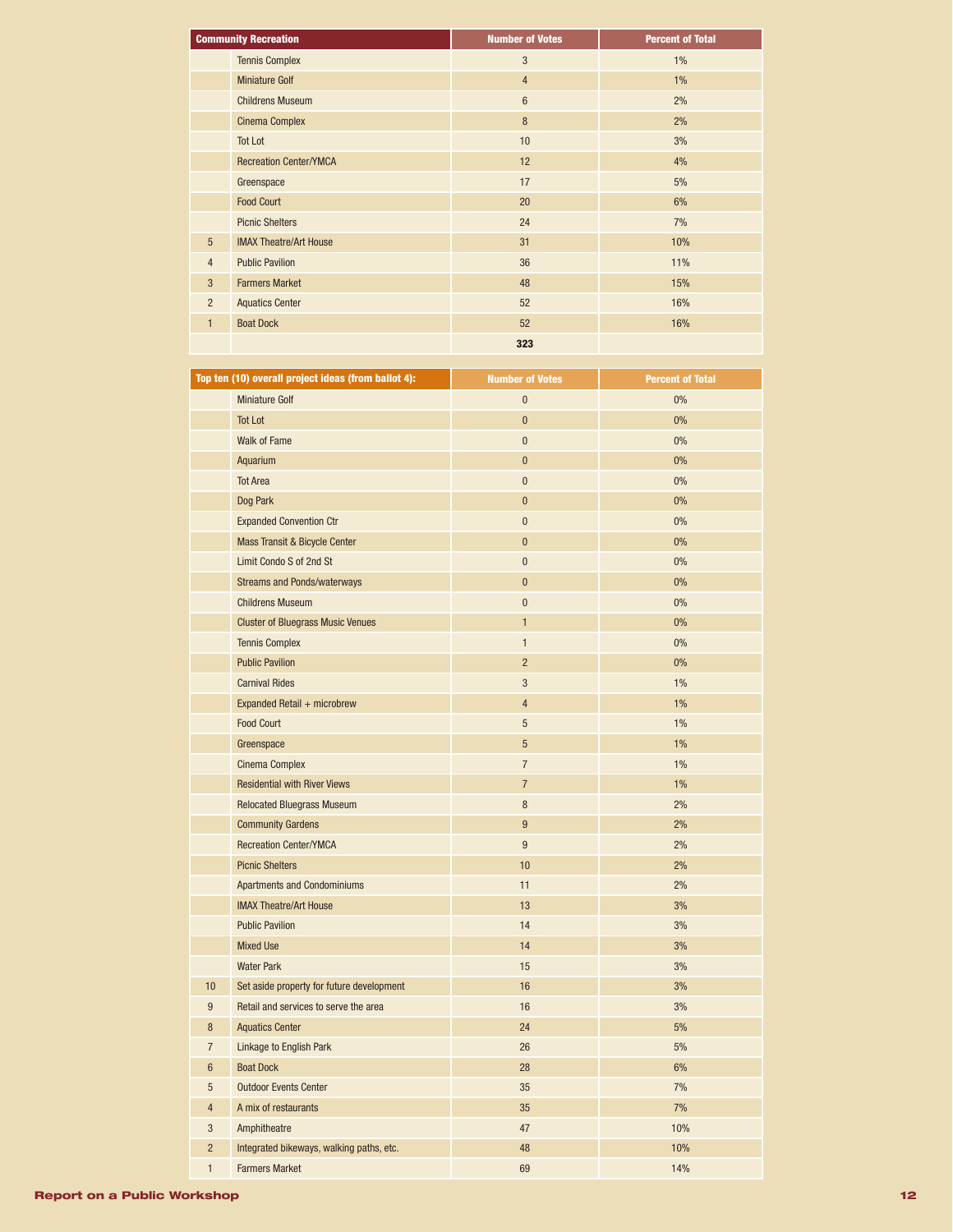| <b>Community Recreation</b> |                               | <b>Number of Votes</b> | <b>Percent of Total</b> |
|-----------------------------|-------------------------------|------------------------|-------------------------|
|                             | <b>Tennis Complex</b>         | 3                      | $1\%$                   |
|                             | <b>Miniature Golf</b>         | $\overline{4}$         | 1%                      |
|                             | <b>Childrens Museum</b>       | $6\phantom{1}$         | 2%                      |
|                             | <b>Cinema Complex</b>         | 8                      | 2%                      |
|                             | <b>Tot Lot</b>                | 10                     | 3%                      |
|                             | <b>Recreation Center/YMCA</b> | 12                     | 4%                      |
|                             | Greenspace                    | 17                     | 5%                      |
|                             | <b>Food Court</b>             | 20                     | 6%                      |
|                             | <b>Picnic Shelters</b>        | 24                     | 7%                      |
| $5\phantom{.0}$             | <b>IMAX Theatre/Art House</b> | 31                     | 10%                     |
| $\overline{4}$              | <b>Public Pavilion</b>        | 36                     | 11%                     |
| 3                           | <b>Farmers Market</b>         | 48                     | 15%                     |
| $\overline{2}$              | <b>Aquatics Center</b>        | 52                     | 16%                     |
| $\mathbf{1}$                | <b>Boat Dock</b>              | 52                     | 16%                     |
|                             |                               | 323                    |                         |

|                  | Top ten (10) overall project ideas (from ballot 4): | <b>Number of Votes</b> | <b>Percent of Total</b> |
|------------------|-----------------------------------------------------|------------------------|-------------------------|
|                  | <b>Miniature Golf</b>                               | $\bf{0}$               | 0%                      |
|                  | <b>Tot Lot</b>                                      | $\mathbf 0$            | 0%                      |
|                  | <b>Walk of Fame</b>                                 | $\pmb{0}$              | 0%                      |
|                  | Aquarium                                            | $\pmb{0}$              | 0%                      |
|                  | <b>Tot Area</b>                                     | $\bf{0}$               | 0%                      |
|                  | Dog Park                                            | $\pmb{0}$              | 0%                      |
|                  | <b>Expanded Convention Ctr</b>                      | $\pmb{0}$              | 0%                      |
|                  | Mass Transit & Bicycle Center                       | $\bf{0}$               | 0%                      |
|                  | Limit Condo S of 2nd St                             | $\pmb{0}$              | 0%                      |
|                  | <b>Streams and Ponds/waterways</b>                  | $\bf{0}$               | 0%                      |
|                  | <b>Childrens Museum</b>                             | $\pmb{0}$              | 0%                      |
|                  | <b>Cluster of Bluegrass Music Venues</b>            | $\mathbf{1}$           | 0%                      |
|                  | <b>Tennis Complex</b>                               | $\mathbf{1}$           | 0%                      |
|                  | <b>Public Pavilion</b>                              | $\overline{2}$         | 0%                      |
|                  | <b>Carnival Rides</b>                               | 3                      | 1%                      |
|                  | Expanded Retail + microbrew                         | $\overline{4}$         | $1\%$                   |
|                  | <b>Food Court</b>                                   | $\overline{5}$         | 1%                      |
|                  | Greenspace                                          | $5\phantom{.0}$        | $1\%$                   |
|                  | <b>Cinema Complex</b>                               | $\overline{7}$         | 1%                      |
|                  | <b>Residential with River Views</b>                 | $\overline{7}$         | $1\%$                   |
|                  | <b>Relocated Bluegrass Museum</b>                   | $\, 8$                 | 2%                      |
|                  | <b>Community Gardens</b>                            | 9                      | 2%                      |
|                  | <b>Recreation Center/YMCA</b>                       | 9                      | 2%                      |
|                  | <b>Picnic Shelters</b>                              | 10                     | 2%                      |
|                  | <b>Apartments and Condominiums</b>                  | 11                     | 2%                      |
|                  | <b>IMAX Theatre/Art House</b>                       | 13                     | 3%                      |
|                  | <b>Public Pavilion</b>                              | 14                     | 3%                      |
|                  | <b>Mixed Use</b>                                    | 14                     | 3%                      |
|                  | <b>Water Park</b>                                   | 15                     | 3%                      |
| 10               | Set aside property for future development           | 16                     | 3%                      |
| $\boldsymbol{9}$ | Retail and services to serve the area               | 16                     | 3%                      |
| 8                | <b>Aquatics Center</b>                              | 24                     | 5%                      |
| $\overline{7}$   | Linkage to English Park                             | 26                     | 5%                      |
| $6\phantom{1}$   | <b>Boat Dock</b>                                    | 28                     | 6%                      |
| 5                | <b>Outdoor Events Center</b>                        | 35                     | 7%                      |
| $\overline{4}$   | A mix of restaurants                                | 35                     | 7%                      |
| 3                | Amphitheatre                                        | 47                     | 10%                     |
| $\overline{2}$   | Integrated bikeways, walking paths, etc.            | 48                     | 10%                     |
| 1                | <b>Farmers Market</b>                               | 69                     | 14%                     |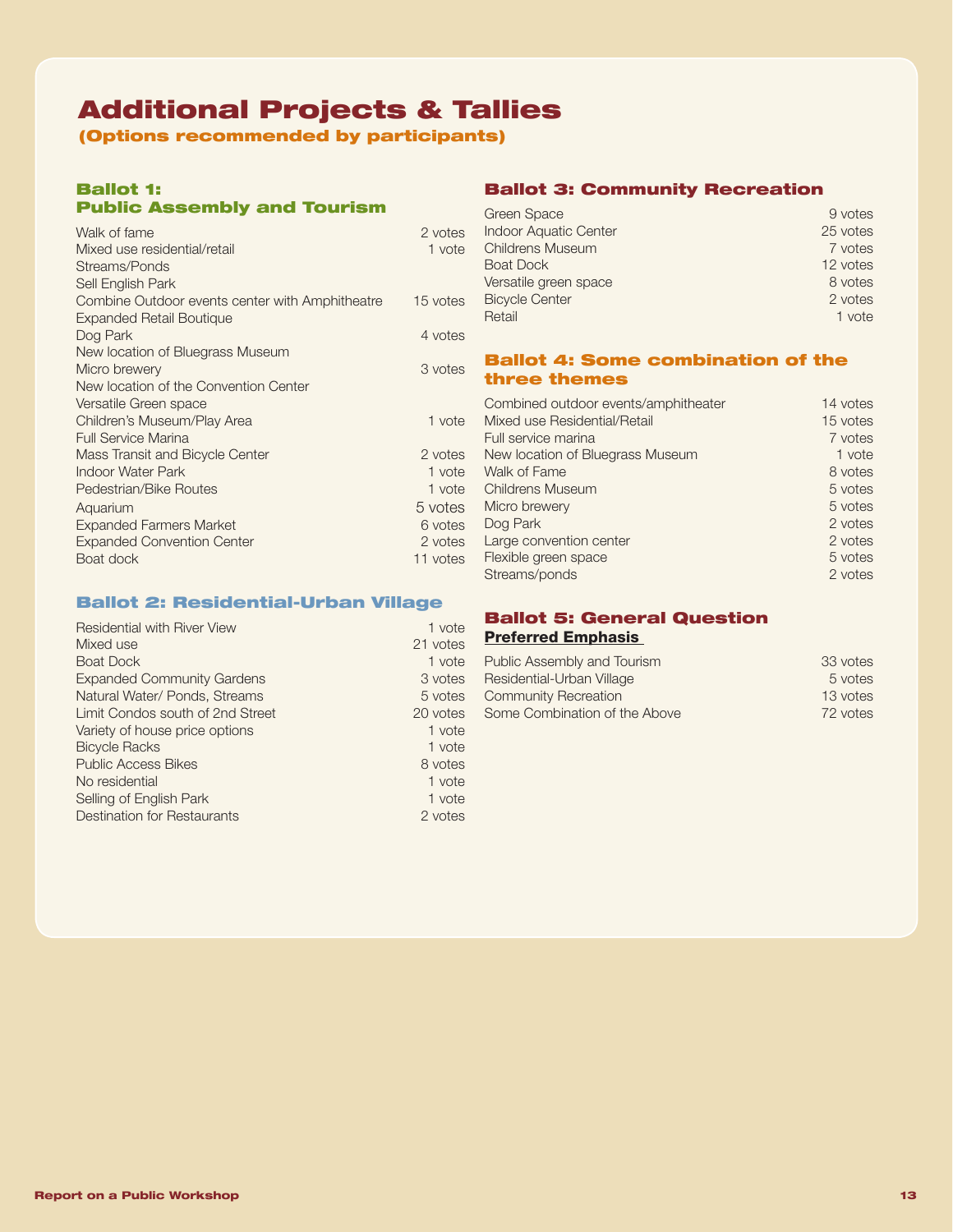# Additional Projects & Tallies

(Options recommended by participants)

## Ballot 1: Public Assembly and Tourism

| Walk of fame                                    | 2 votes  |
|-------------------------------------------------|----------|
| Mixed use residential/retail                    | 1 vote   |
| Streams/Ponds                                   |          |
| Sell English Park                               |          |
| Combine Outdoor events center with Amphitheatre | 15 votes |
| Expanded Retail Boutique                        |          |
| Dog Park                                        | 4 votes  |
| New location of Bluegrass Museum                |          |
| Micro brewery                                   | 3 votes  |
| New location of the Convention Center           |          |
| Versatile Green space                           |          |
| Children's Museum/Play Area                     | 1 vote   |
| <b>Full Service Marina</b>                      |          |
| Mass Transit and Bicycle Center                 | 2 votes  |
| Indoor Water Park                               | 1 vote   |
| Pedestrian/Bike Routes                          | 1 vote   |
| Aquarium                                        | 5 votes  |
| <b>Expanded Farmers Market</b>                  | 6 votes  |
| <b>Expanded Convention Center</b>               | 2 votes  |
| Boat dock                                       | 11 votes |
|                                                 |          |

## Ballot 2: Residential-Urban Village

| <b>Residential with River View</b> | 1 vote   |
|------------------------------------|----------|
| Mixed use                          | 21 votes |
| <b>Boat Dock</b>                   | 1 vote   |
| <b>Expanded Community Gardens</b>  | 3 votes  |
| Natural Water/ Ponds, Streams      | 5 votes  |
| Limit Condos south of 2nd Street   | 20 votes |
| Variety of house price options     | 1 vote   |
| <b>Bicycle Racks</b>               | 1 vote   |
| <b>Public Access Bikes</b>         | 8 votes  |
| No residential                     | 1 vote   |
| Selling of English Park            | 1 vote   |
| <b>Destination for Restaurants</b> | 2 votes  |

## Ballot 3: Community Recreation

| Green Space                  | 9 votes  |
|------------------------------|----------|
| <b>Indoor Aquatic Center</b> | 25 votes |
| <b>Childrens Museum</b>      | 7 votes  |
| <b>Boat Dock</b>             | 12 votes |
| Versatile green space        | 8 votes  |
| <b>Bicycle Center</b>        | 2 votes  |
| Retail                       | 1 vote   |

## Ballot 4: Some combination of the three themes

| Combined outdoor events/amphitheater | 14 votes |
|--------------------------------------|----------|
| Mixed use Residential/Retail         | 15 votes |
| Full service marina                  | 7 votes  |
| New location of Bluegrass Museum     | 1 vote   |
| Walk of Fame                         | 8 votes  |
| <b>Childrens Museum</b>              | 5 votes  |
| Micro brewery                        | 5 votes  |
| Dog Park                             | 2 votes  |
| Large convention center              | 2 votes  |
| Flexible green space                 | 5 votes  |
| Streams/ponds                        | 2 votes  |
|                                      |          |

## Ballot 5: General Question Preferred Emphasis

| Public Assembly and Tourism   | 33 votes |
|-------------------------------|----------|
| Residential-Urban Village     | 5 votes  |
| Community Recreation          | 13 votes |
| Some Combination of the Above | 72 votes |